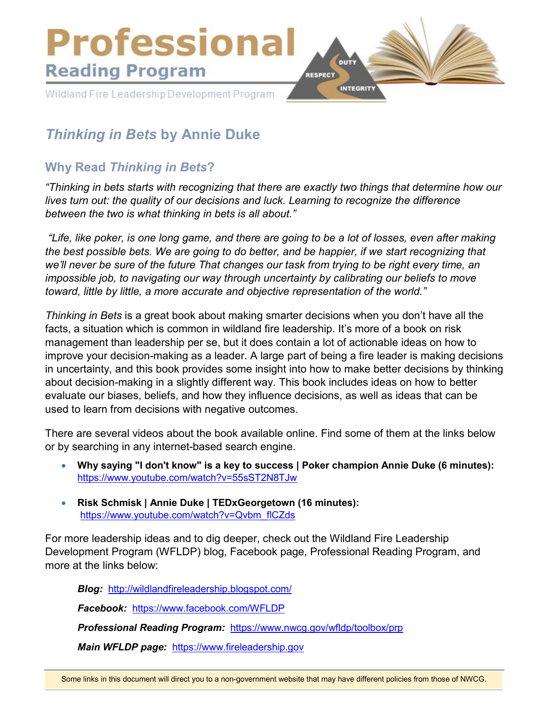

# *Thinking in Bets* **by Annie Duke**

# **Why Read** *Thinking in Bets***?**

*"Thinking in bets starts with recognizing that there are exactly two things that determine how our lives turn out: the quality of our decisions and luck. Learning to recognize the difference between the two is what thinking in bets is all about."*

*"Life, like poker, is one long game, and there are going to be a lot of losses, even after making the best possible bets. We are going to do better, and be happier, if we start recognizing that we'll never be sure of the future That changes our task from trying to be right every time, an impossible job, to navigating our way through uncertainty by calibrating our beliefs to move toward, little by little, a more accurate and objective representation of the world."*

*Thinking in Bets* is a great book about making smarter decisions when you don't have all the facts, a situation which is common in wildland fire leadership. It's more of a book on risk management than leadership per se, but it does contain a lot of actionable ideas on how to improve your decision-making as a leader. A large part of being a fire leader is making decisions in uncertainty, and this book provides some insight into how to make better decisions by thinking about decision-making in a slightly different way. This book includes ideas on how to better evaluate our biases, beliefs, and how they influence decisions, as well as ideas that can be used to learn from decisions with negative outcomes.

There are several videos about the book available online. Find some of them at the links below or by searching in any internet-based search engine.

- **Why saying "I don't know" is a key to success | Poker champion Annie Duke (6 minutes):** <https://www.youtube.com/watch?v=55sST2N8TJw>
- **Risk Schmisk | Annie Duke | TEDxGeorgetown (16 minutes):** [https://www.youtube.com/watch?v=Qvbm\\_flCZds](https://www.youtube.com/watch?v=Qvbm_flCZds)

For more leadership ideas and to dig deeper, check out the Wildland Fire Leadership Development Program (WFLDP) blog, Facebook page, Professional Reading Program, and more at the links below:

*Blog:* <http://wildlandfireleadership.blogspot.com/>

*Facebook:* <https://www.facebook.com/WFLDP>

*Professional Reading Program:* <https://www.nwcg.gov/wfldp/toolbox/prp>

*Main WFLDP page:* [https://www.fireleadership.gov](https://www.fireleadership.gov/)